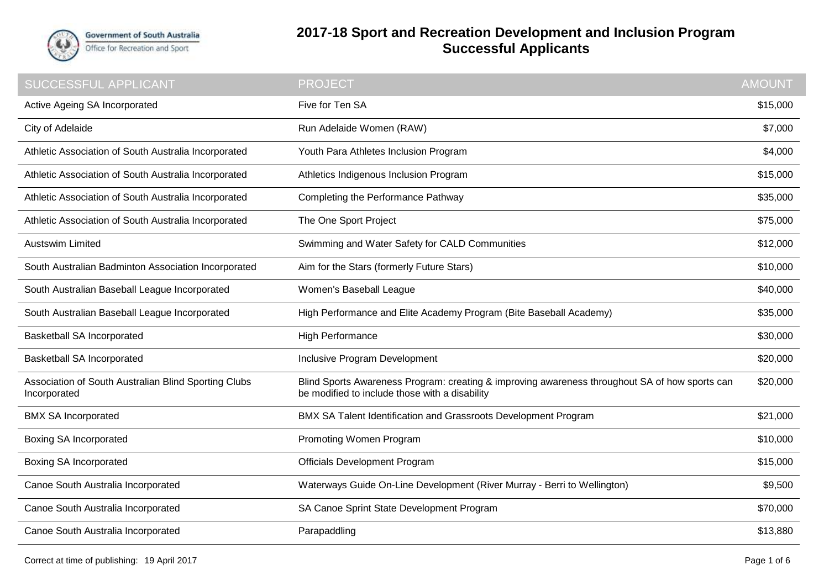

## **2017-18 Sport and Recreation Development and Inclusion Program Successful Applicants**

| SUCCESSFUL APPLICANT                                                 | <b>PROJECT</b>                                                                                                                                   | <b>AMOUNT</b> |
|----------------------------------------------------------------------|--------------------------------------------------------------------------------------------------------------------------------------------------|---------------|
| Active Ageing SA Incorporated                                        | Five for Ten SA                                                                                                                                  | \$15,000      |
| City of Adelaide                                                     | Run Adelaide Women (RAW)                                                                                                                         | \$7,000       |
| Athletic Association of South Australia Incorporated                 | Youth Para Athletes Inclusion Program                                                                                                            | \$4,000       |
| Athletic Association of South Australia Incorporated                 | Athletics Indigenous Inclusion Program                                                                                                           |               |
| Athletic Association of South Australia Incorporated                 | Completing the Performance Pathway                                                                                                               |               |
| Athletic Association of South Australia Incorporated                 | The One Sport Project                                                                                                                            |               |
| <b>Austswim Limited</b>                                              | Swimming and Water Safety for CALD Communities                                                                                                   | \$12,000      |
| South Australian Badminton Association Incorporated                  | Aim for the Stars (formerly Future Stars)                                                                                                        | \$10,000      |
| South Australian Baseball League Incorporated                        | Women's Baseball League                                                                                                                          | \$40,000      |
| South Australian Baseball League Incorporated                        | High Performance and Elite Academy Program (Bite Baseball Academy)                                                                               |               |
| <b>Basketball SA Incorporated</b>                                    | High Performance                                                                                                                                 |               |
| <b>Basketball SA Incorporated</b>                                    | Inclusive Program Development                                                                                                                    |               |
| Association of South Australian Blind Sporting Clubs<br>Incorporated | Blind Sports Awareness Program: creating & improving awareness throughout SA of how sports can<br>be modified to include those with a disability |               |
| <b>BMX SA Incorporated</b>                                           | BMX SA Talent Identification and Grassroots Development Program                                                                                  | \$21,000      |
| <b>Boxing SA Incorporated</b>                                        | Promoting Women Program                                                                                                                          |               |
| <b>Boxing SA Incorporated</b>                                        | <b>Officials Development Program</b>                                                                                                             | \$15,000      |
| Canoe South Australia Incorporated                                   | Waterways Guide On-Line Development (River Murray - Berri to Wellington)                                                                         | \$9,500       |
| Canoe South Australia Incorporated                                   | SA Canoe Sprint State Development Program                                                                                                        | \$70,000      |
| Canoe South Australia Incorporated                                   | Parapaddling                                                                                                                                     | \$13,880      |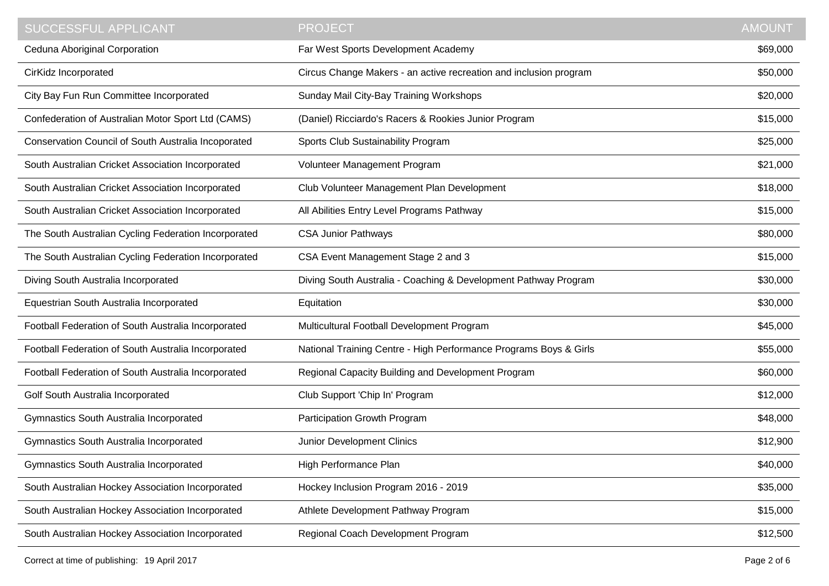| <b>SUCCESSFUL APPLICANT</b>                          | <b>PROJECT</b>                                                    | <b>AMOUNT</b> |
|------------------------------------------------------|-------------------------------------------------------------------|---------------|
| Ceduna Aboriginal Corporation                        | Far West Sports Development Academy                               | \$69,000      |
| CirKidz Incorporated                                 | Circus Change Makers - an active recreation and inclusion program | \$50,000      |
| City Bay Fun Run Committee Incorporated              | Sunday Mail City-Bay Training Workshops                           | \$20,000      |
| Confederation of Australian Motor Sport Ltd (CAMS)   | (Daniel) Ricciardo's Racers & Rookies Junior Program              | \$15,000      |
| Conservation Council of South Australia Incoporated  | Sports Club Sustainability Program                                | \$25,000      |
| South Australian Cricket Association Incorporated    | Volunteer Management Program                                      | \$21,000      |
| South Australian Cricket Association Incorporated    | Club Volunteer Management Plan Development                        | \$18,000      |
| South Australian Cricket Association Incorporated    | All Abilities Entry Level Programs Pathway                        | \$15,000      |
| The South Australian Cycling Federation Incorporated | <b>CSA Junior Pathways</b>                                        | \$80,000      |
| The South Australian Cycling Federation Incorporated | CSA Event Management Stage 2 and 3                                | \$15,000      |
| Diving South Australia Incorporated                  | Diving South Australia - Coaching & Development Pathway Program   | \$30,000      |
| Equestrian South Australia Incorporated              | Equitation                                                        | \$30,000      |
| Football Federation of South Australia Incorporated  | Multicultural Football Development Program                        | \$45,000      |
| Football Federation of South Australia Incorporated  | National Training Centre - High Performance Programs Boys & Girls | \$55,000      |
| Football Federation of South Australia Incorporated  | Regional Capacity Building and Development Program                | \$60,000      |
| Golf South Australia Incorporated                    | Club Support 'Chip In' Program                                    | \$12,000      |
| Gymnastics South Australia Incorporated              | Participation Growth Program                                      | \$48,000      |
| Gymnastics South Australia Incorporated              | Junior Development Clinics                                        | \$12,900      |
| Gymnastics South Australia Incorporated              | High Performance Plan                                             | \$40,000      |
| South Australian Hockey Association Incorporated     | Hockey Inclusion Program 2016 - 2019                              | \$35,000      |
| South Australian Hockey Association Incorporated     | Athlete Development Pathway Program                               | \$15,000      |
| South Australian Hockey Association Incorporated     | Regional Coach Development Program                                | \$12,500      |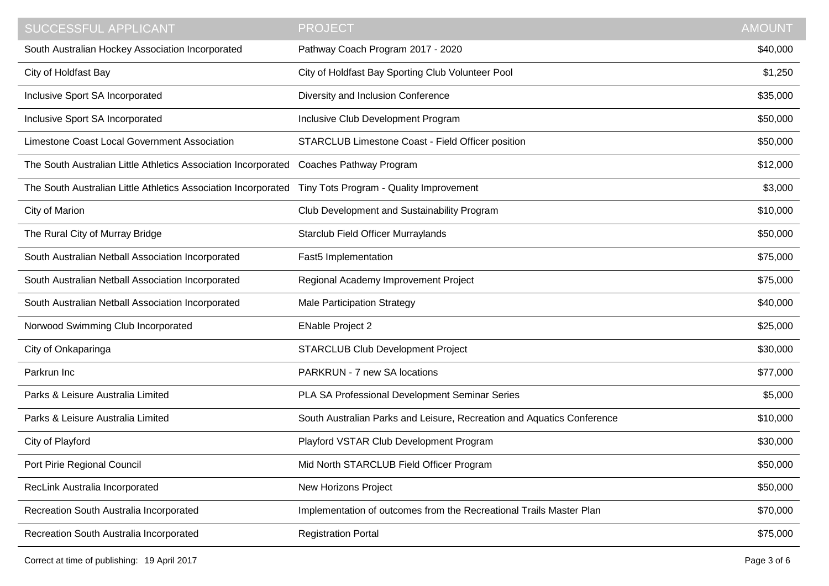| <b>SUCCESSFUL APPLICANT</b>                                    | <b>PROJECT</b>                                                         | <b>AMOUNT</b> |
|----------------------------------------------------------------|------------------------------------------------------------------------|---------------|
| South Australian Hockey Association Incorporated               | Pathway Coach Program 2017 - 2020                                      | \$40,000      |
| City of Holdfast Bay                                           | City of Holdfast Bay Sporting Club Volunteer Pool                      | \$1,250       |
| Inclusive Sport SA Incorporated                                | Diversity and Inclusion Conference                                     | \$35,000      |
| Inclusive Sport SA Incorporated                                | Inclusive Club Development Program                                     | \$50,000      |
| Limestone Coast Local Government Association                   | STARCLUB Limestone Coast - Field Officer position                      | \$50,000      |
| The South Australian Little Athletics Association Incorporated | Coaches Pathway Program                                                | \$12,000      |
| The South Australian Little Athletics Association Incorporated | Tiny Tots Program - Quality Improvement                                | \$3,000       |
| City of Marion                                                 | Club Development and Sustainability Program                            | \$10,000      |
| The Rural City of Murray Bridge                                | <b>Starclub Field Officer Murraylands</b>                              | \$50,000      |
| South Australian Netball Association Incorporated              | Fast5 Implementation                                                   | \$75,000      |
| South Australian Netball Association Incorporated              | Regional Academy Improvement Project                                   | \$75,000      |
| South Australian Netball Association Incorporated              | <b>Male Participation Strategy</b>                                     | \$40,000      |
| Norwood Swimming Club Incorporated                             | <b>ENable Project 2</b>                                                | \$25,000      |
| City of Onkaparinga                                            | <b>STARCLUB Club Development Project</b>                               | \$30,000      |
| Parkrun Inc                                                    | PARKRUN - 7 new SA locations                                           | \$77,000      |
| Parks & Leisure Australia Limited                              | PLA SA Professional Development Seminar Series                         | \$5,000       |
| Parks & Leisure Australia Limited                              | South Australian Parks and Leisure, Recreation and Aquatics Conference | \$10,000      |
| City of Playford                                               | Playford VSTAR Club Development Program                                | \$30,000      |
| Port Pirie Regional Council                                    | Mid North STARCLUB Field Officer Program                               | \$50,000      |
| RecLink Australia Incorporated                                 | New Horizons Project                                                   | \$50,000      |
| Recreation South Australia Incorporated                        | Implementation of outcomes from the Recreational Trails Master Plan    | \$70,000      |
| Recreation South Australia Incorporated                        | <b>Registration Portal</b>                                             | \$75,000      |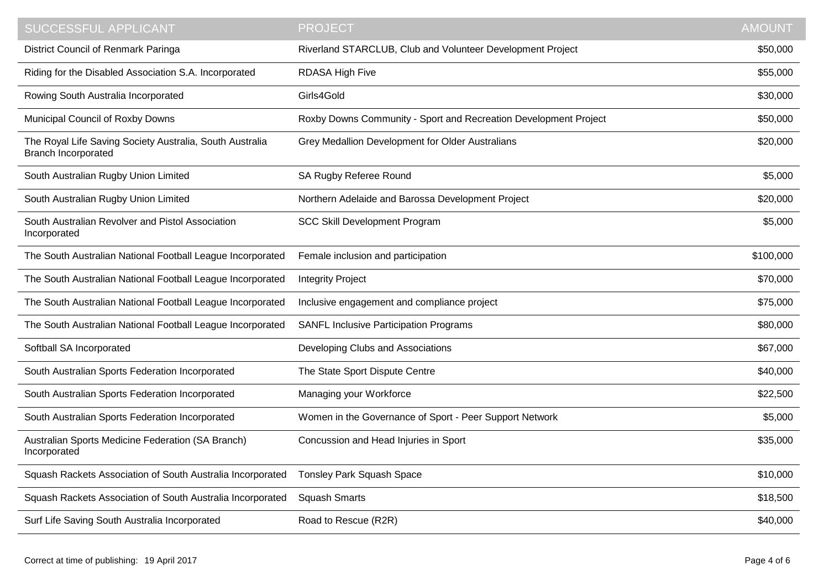| SUCCESSFUL APPLICANT                                                                   | <b>PROJECT</b>                                                   | <b>AMOUNT</b> |
|----------------------------------------------------------------------------------------|------------------------------------------------------------------|---------------|
| District Council of Renmark Paringa                                                    | Riverland STARCLUB, Club and Volunteer Development Project       | \$50,000      |
| Riding for the Disabled Association S.A. Incorporated                                  | <b>RDASA High Five</b>                                           | \$55,000      |
| Rowing South Australia Incorporated                                                    | Girls4Gold                                                       | \$30,000      |
| Municipal Council of Roxby Downs                                                       | Roxby Downs Community - Sport and Recreation Development Project | \$50,000      |
| The Royal Life Saving Society Australia, South Australia<br><b>Branch Incorporated</b> | Grey Medallion Development for Older Australians                 | \$20,000      |
| South Australian Rugby Union Limited                                                   | SA Rugby Referee Round                                           | \$5,000       |
| South Australian Rugby Union Limited                                                   | Northern Adelaide and Barossa Development Project                | \$20,000      |
| South Australian Revolver and Pistol Association<br>Incorporated                       | <b>SCC Skill Development Program</b>                             | \$5,000       |
| The South Australian National Football League Incorporated                             | Female inclusion and participation                               | \$100,000     |
| The South Australian National Football League Incorporated                             | <b>Integrity Project</b>                                         | \$70,000      |
| The South Australian National Football League Incorporated                             | Inclusive engagement and compliance project                      | \$75,000      |
| The South Australian National Football League Incorporated                             | <b>SANFL Inclusive Participation Programs</b>                    | \$80,000      |
| Softball SA Incorporated                                                               | Developing Clubs and Associations                                | \$67,000      |
| South Australian Sports Federation Incorporated                                        | The State Sport Dispute Centre                                   | \$40,000      |
| South Australian Sports Federation Incorporated                                        | Managing your Workforce                                          | \$22,500      |
| South Australian Sports Federation Incorporated                                        | Women in the Governance of Sport - Peer Support Network          | \$5,000       |
| Australian Sports Medicine Federation (SA Branch)<br>Incorporated                      | Concussion and Head Injuries in Sport                            | \$35,000      |
| Squash Rackets Association of South Australia Incorporated                             | Tonsley Park Squash Space                                        | \$10,000      |
| Squash Rackets Association of South Australia Incorporated                             | <b>Squash Smarts</b>                                             | \$18,500      |
| Surf Life Saving South Australia Incorporated                                          | Road to Rescue (R2R)                                             | \$40,000      |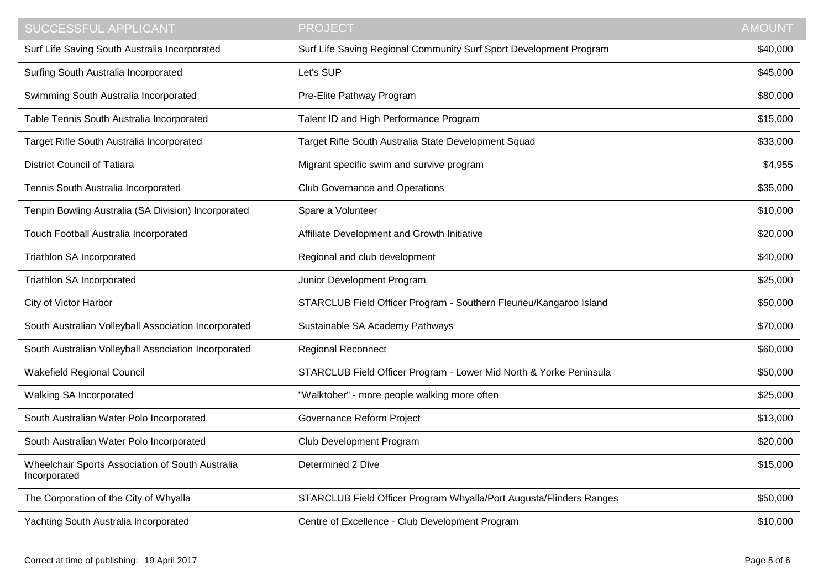| SUCCESSFUL APPLICANT                                             | <b>PROJECT</b>                                                      | <b>AMOUNT</b> |
|------------------------------------------------------------------|---------------------------------------------------------------------|---------------|
| Surf Life Saving South Australia Incorporated                    | Surf Life Saving Regional Community Surf Sport Development Program  | \$40,000      |
| Surfing South Australia Incorporated                             | Let's SUP                                                           | \$45,000      |
| Swimming South Australia Incorporated                            | Pre-Elite Pathway Program                                           | \$80,000      |
| Table Tennis South Australia Incorporated                        | Talent ID and High Performance Program                              | \$15,000      |
| Target Rifle South Australia Incorporated                        | Target Rifle South Australia State Development Squad                | \$33,000      |
| <b>District Council of Tatiara</b>                               | Migrant specific swim and survive program                           | \$4,955       |
| Tennis South Australia Incorporated                              | <b>Club Governance and Operations</b>                               | \$35,000      |
| Tenpin Bowling Australia (SA Division) Incorporated              | Spare a Volunteer                                                   | \$10,000      |
| Touch Football Australia Incorporated                            | Affiliate Development and Growth Initiative                         | \$20,000      |
| Triathlon SA Incorporated                                        | Regional and club development                                       | \$40,000      |
| Triathlon SA Incorporated                                        | Junior Development Program                                          | \$25,000      |
| City of Victor Harbor                                            | STARCLUB Field Officer Program - Southern Fleurieu/Kangaroo Island  | \$50,000      |
| South Australian Volleyball Association Incorporated             | Sustainable SA Academy Pathways                                     | \$70,000      |
| South Australian Volleyball Association Incorporated             | <b>Regional Reconnect</b>                                           | \$60,000      |
| <b>Wakefield Regional Council</b>                                | STARCLUB Field Officer Program - Lower Mid North & Yorke Peninsula  | \$50,000      |
| Walking SA Incorporated                                          | "Walktober" - more people walking more often                        | \$25,000      |
| South Australian Water Polo Incorporated                         | Governance Reform Project                                           | \$13,000      |
| South Australian Water Polo Incorporated                         | Club Development Program                                            | \$20,000      |
| Wheelchair Sports Association of South Australia<br>Incorporated | Determined 2 Dive                                                   | \$15,000      |
| The Corporation of the City of Whyalla                           | STARCLUB Field Officer Program Whyalla/Port Augusta/Flinders Ranges | \$50,000      |
| Yachting South Australia Incorporated                            | Centre of Excellence - Club Development Program                     | \$10,000      |